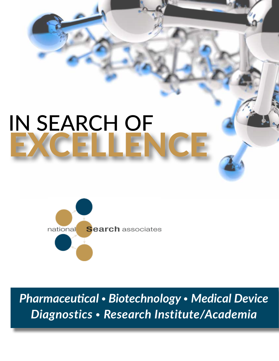## IN SEARCH OF EXCELLENCE



*Pharmaceutical • Biotechnology • Medical Device Diagnostics • Research Institute/Academia*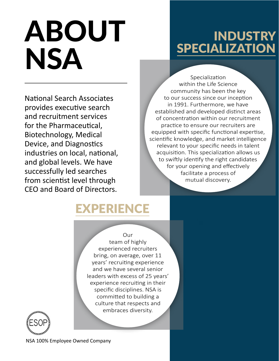# ABOUT **NSA**

### **INDUSTRY** SPECIALIZATION

National Search Associates provides executive search and recruitment services for the Pharmaceutical, Biotechnology, Medical Device, and Diagnostics industries on local, national, and global levels. We have successfully led searches from scientist level through CEO and Board of Directors.

Specialization within the Life Science community has been the key to our success since our inception in 1991. Furthermore, we have established and developed distinct areas of concentration within our recruitment practice to ensure our recruiters are equipped with specific functional expertise, scientific knowledge, and market intelligence relevant to your specific needs in talent acquisition. This specialization allows us to swiftly identify the right candidates for your opening and effectively facilitate a process of mutual discovery.

### EXPERIENCE

Our team of highly experienced recruiters bring, on average, over 11 years' recruiting experience and we have several senior leaders with excess of 25 years' experience recruiting in their specific disciplines. NSA is committed to building a culture that respects and embraces diversity.



NSA 100% Employee Owned Company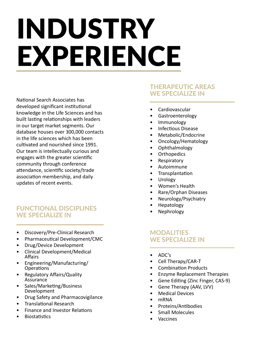## INDUSTRY EXPERIENCE

National Search Associates has developed significant institutional knowledge in the Life Sciences and has built lasting relationships with leaders in our target market segments. Our database houses over 300,000 contacts in the life sciences which has been cultivated and nourished since 1991. Our team is intellectually curious and engages with the greater scientific community through conference attendance, scientific society/trade association membership, and daily updates of recent events.

#### FUNCTIONAL DISCIPLINES WE SPECIALIZE IN

- Discovery/Pre-Clinical Research
- Pharmaceutical Development/CMC
- Drug/Device Development
- Clinical Development/Medical Affairs
- Engineering/Manufacturing/ Operations
- Regulatory Affairs/Quality **Assurance**
- Sales/Marketing/Business Development
- Drug Safety and Pharmacovigilance
- Translational Research
- Finance and Investor Relations
- **Biostatistics**

#### THERAPEUTIC AREAS WE SPECIALIZE IN

- Cardiovascular
- Gastroenterology
- Immunology
- Infectious Disease
- Metabolic/Endocrine
- Oncology/Hematology
- Ophthalmology
- **Orthopedics**
- Respiratory
- Autoimmune
- **Transplantation**
- Urology
- Women's Health
- Rare/Orphan Diseases
- Neurology/Psychiatry
- Hepatology
- Nephrology

#### **MODALITIES** WE SPECIALIZE IN

- ADC's
- Cell Therapy/CAR-T
- Combination Products
- Enzyme Replacement Therapies
- Gene Editing (Zinc Finger, CAS-9)
- Gene Therapy (AAV, LVV)
- **Medical Devices**
- mRNA
- Proteins/Antibodies
- Small Molecules
- **Vaccines**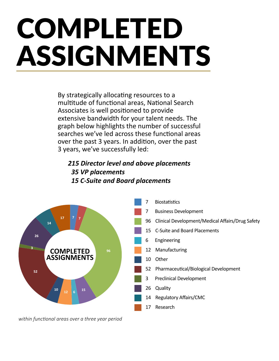## COMPLETED ASSIGNMENTS

By strategically allocating resources to a multitude of functional areas, National Search Associates is well positioned to provide extensive bandwidth for your talent needs. The graph below highlights the number of successful searches we've led across these functional areas over the past 3 years. In addition, over the past 3 years, we've successfully led:

#### *215 Director level and above placements 35 VP placements 15 C-Suite and Board placements*



*within functional areas over a three year period*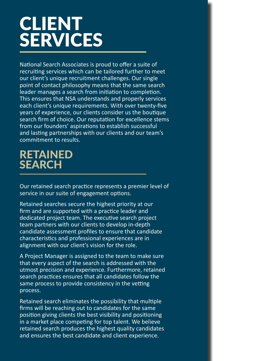## CLIENT SERVICES

National Search Associates is proud to offer a suite of recruiting services which can be tailored further to meet our client's unique recruitment challenges. Our single point of contact philosophy means that the same search leader manages a search from initiation to completion. This ensures that NSA understands and properly services each client's unique requirements. With over twenty-five years of experience, our clients consider us the boutique search firm of choice. Our reputation for excellence stems from our founders' aspirations to establish successful and lasting partnerships with our clients and our team's commitment to results.

### RETAINED **SEARCH**

Our retained search practice represents a premier level of service in our suite of engagement options.

Retained searches secure the highest priority at our firm and are supported with a practice leader and dedicated project team. The executive search project team partners with our clients to develop in-depth candidate assessment profiles to ensure that candidate characteristics and professional experiences are in alignment with our client's vision for the role.

A Project Manager is assigned to the team to make sure that every aspect of the search is addressed with the utmost precision and experience. Furthermore, retained search practices ensures that all candidates follow the same process to provide consistency in the vetting process.

Retained search eliminates the possibility that multiple firms will be reaching out to candidates for the same position giving clients the best visibility and positioning in a market place competing for top talent. We believe retained search produces the highest quality candidates and ensures the best candidate and client experience.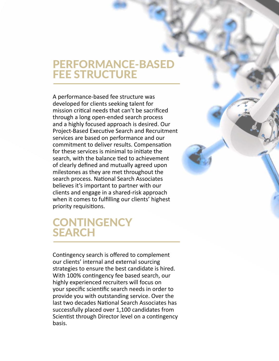### PERFORMANCE-BASED **FEE STRUCTURE**

A performance-based fee structure was developed for clients seeking talent for mission critical needs that can't be sacrificed through a long open-ended search process and a highly focused approach is desired. Our Project-Based Executive Search and Recruitment services are based on performance and our commitment to deliver results. Compensation for these services is minimal to initiate the search, with the balance tied to achievement of clearly defined and mutually agreed upon milestones as they are met throughout the search process. National Search Associates believes it's important to partner with our clients and engage in a shared-risk approach when it comes to fulfilling our clients' highest priority requisitions.

### **CONTINGENCY** SEARCH

Contingency search is offered to complement our clients' internal and external sourcing strategies to ensure the best candidate is hired. With 100% contingency fee based search, our highly experienced recruiters will focus on your specific scientific search needs in order to provide you with outstanding service. Over the last two decades National Search Associates has successfully placed over 1,100 candidates from Scientist through Director level on a contingency basis.